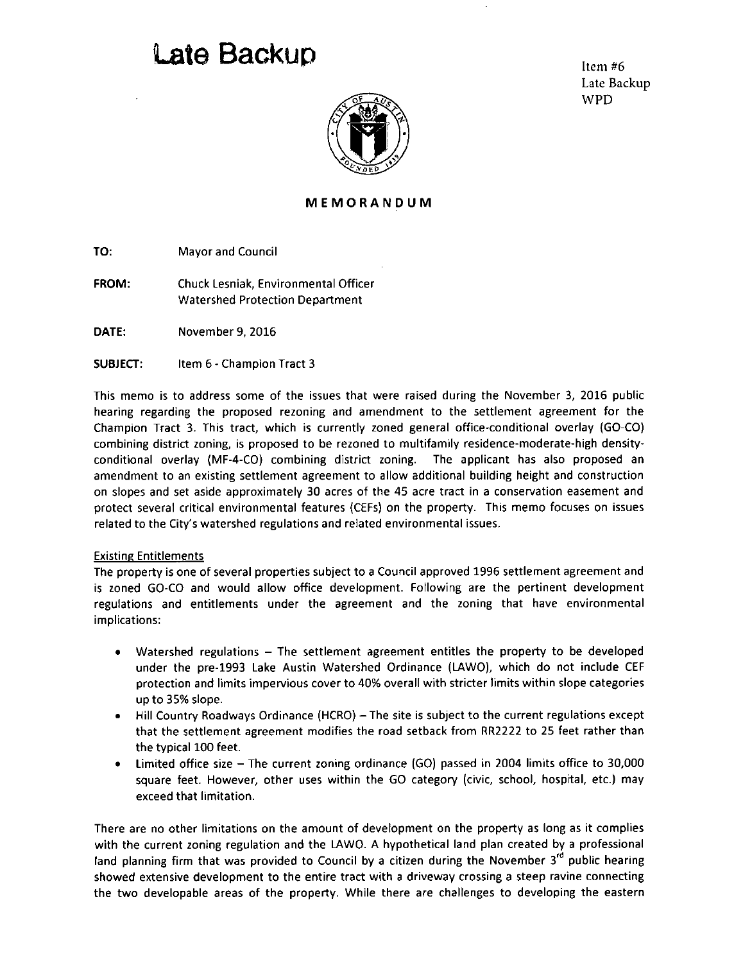## **Late Backup** Item #6

Late Backup WPD



## **MEMORANDU M**

TO: Mayor and Council

FROM: Chuck Lesniak, Environmental Officer Watershed Protection Department

DATE: November 9, 2016

SUBJECT: Item 6 - Champion Tract 3

This memo is to address some of the issues that were raised during the November 3, 2016 public hearing regarding the proposed rezoning and amendment to the settlement agreement for the Champion Tract 3. This tract, which is currently zoned general office-conditional overlay {GO-CO) combining district zoning, is proposed to be rezoned to multifamily residence-moderate-high densityconditional overlay (MF-4-C0) combining district zoning. The applicant has also proposed an amendment to an existing settlement agreement to allow additional building height and construction on slopes and set aside approximately 30 acres of the 45 acre tract in a conservation easement and protect several critical environmental features (CEFs) on the property. This memo focuses on issues related to the City's watershed regulations and related environmental issues.

## Existing Entitlements

The property is one of several properties subject to a Council approved 1996 settlement agreement and is zoned GO-CO and would allow office development. Following are the pertinent development regulations and entitlements under the agreement and the zoning that have environmental implications:

- Watershed regulations The settlement agreement entitles the property to be developed under the pre-1993 Lake Austin Watershed Ordinance (LAWO), which do not include CEF protection and limits impervious cover to 40% overall with stricter limits within slope categories up to 35% slope.
- Hill Country Roadways Ordinance (HCRO) The site is subject to the current regulations except that the settlement agreement modifies the road setback from RR2222 to 25 feet rather than the typical 100 feet.
- Limited office size The current zoning ordinance (GO) passed in 2004 limits office to 30,000 square feet. However, other uses within the GO category (civic, school, hospital, etc.) may exceed that limitation.

There are no other limitations on the amount of development on the property as long as it complies with the current zoning regulation and the LAWO. A hypothetical land plan created by a professional land planning firm that was provided to Council by a citizen during the November  $3<sup>rd</sup>$  public hearing showed extensive development to the entire tract with a driveway crossing a steep ravine connecting the two developable areas of the property. While there are challenges to developing the eastern